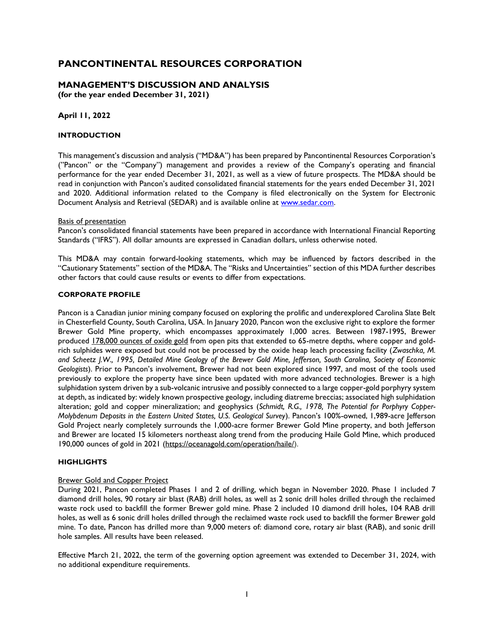# **MANAGEMENT'S DISCUSSION AND ANALYSIS**

**(for the year ended December 31, 2021)**

# **April 11, 2022**

# **INTRODUCTION**

This management's discussion and analysis ("MD&A") has been prepared by Pancontinental Resources Corporation's ("Pancon" or the "Company") management and provides a review of the Company's operating and financial performance for the year ended December 31, 2021, as well as a view of future prospects. The MD&A should be read in conjunction with Pancon's audited consolidated financial statements for the years ended December 31, 2021 and 2020. Additional information related to the Company is filed electronically on the System for Electronic Document Analysis and Retrieval (SEDAR) and is available online at [www.sedar.com.](http://www.sedar.com/)

#### Basis of presentation

Pancon's consolidated financial statements have been prepared in accordance with International Financial Reporting Standards ("IFRS"). All dollar amounts are expressed in Canadian dollars, unless otherwise noted.

This MD&A may contain forward-looking statements, which may be influenced by factors described in the "Cautionary Statements" section of the MD&A. The "Risks and Uncertainties" section of this MDA further describes other factors that could cause results or events to differ from expectations.

### **CORPORATE PROFILE**

Pancon is a Canadian junior mining company focused on exploring the prolific and underexplored Carolina Slate Belt in Chesterfield County, South Carolina, USA. In January 2020, Pancon won the exclusive right to explore the former Brewer Gold Mine property, which encompasses approximately 1,000 acres. Between 1987-1995, Brewer produced [178,000 ounces of oxide gold](https://www.newsfilecorp.com/redirect/AN4Biamzz) from open pits that extended to 65-metre depths, where copper and goldrich sulphides were exposed but could not be processed by the oxide heap leach processing facility (*Zwaschka, M. and Scheetz J.W., 1995, Detailed Mine Geology of the Brewer Gold Mine, Jefferson, South Carolina, Society of Economic Geologists*). Prior to Pancon's involvement, Brewer had not been explored since 1997, and most of the tools used previously to explore the property have since been updated with more advanced technologies. Brewer is a high sulphidation system driven by a sub-volcanic intrusive and possibly connected to a large copper-gold porphyry system at depth, as indicated by: widely known prospective geology, including diatreme breccias; associated high sulphidation alteration; gold and copper mineralization; and geophysics (*Schmidt, R.G., 1978, The Potential for Porphyry Copper-Molybdenum Deposits in the Eastern United States, U.S. Geological Survey*). Pancon's 100%-owned, 1,989-acre Jefferson Gold Project nearly completely surrounds the 1,000-acre former Brewer Gold Mine property, and both Jefferson and Brewer are located 15 kilometers northeast along trend from the producing Haile Gold Mine, which produced 190,000 ounces of gold in 2021 [\(https://oceanagold.com/operation/haile/\)](https://www.newsfilecorp.com/redirect/4KEWsE1NP).

# **HIGHLIGHTS**

# Brewer Gold and Copper Project

During 2021, Pancon completed Phases 1 and 2 of drilling, which began in November 2020. Phase 1 included 7 diamond drill holes, 90 rotary air blast (RAB) drill holes, as well as 2 sonic drill holes drilled through the reclaimed waste rock used to backfill the former Brewer gold mine. Phase 2 included 10 diamond drill holes, 104 RAB drill holes, as well as 6 sonic drill holes drilled through the reclaimed waste rock used to backfill the former Brewer gold mine. To date, Pancon has drilled more than 9,000 meters of: diamond core, rotary air blast (RAB), and sonic drill hole samples. All results have been released.

Effective March 21, 2022, the term of the governing option agreement was extended to December 31, 2024, with no additional expenditure requirements.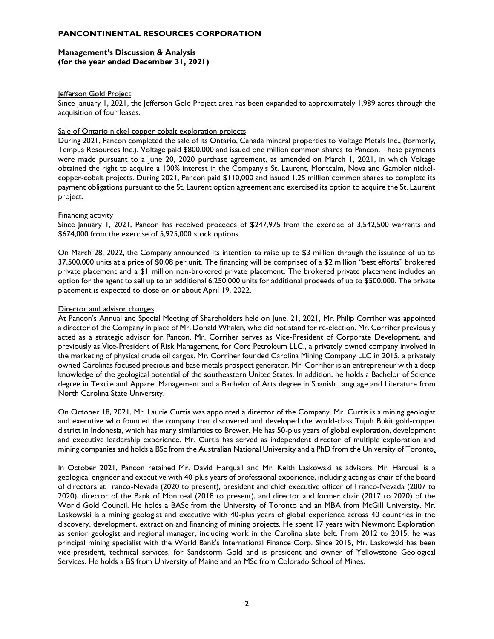# **Management's Discussion & Analysis (for the year ended December 31, 2021)**

### **Jefferson Gold Project**

Since January 1, 2021, the Jefferson Gold Project area has been expanded to approximately 1,989 acres through the acquisition of four leases.

### Sale of Ontario nickel-copper-cobalt exploration projects

During 2021, Pancon completed the sale of its Ontario, Canada mineral properties to Voltage Metals Inc., (formerly, Tempus Resources Inc.). Voltage paid \$800,000 and issued one million common shares to Pancon. These payments were made pursuant to a June 20, 2020 purchase agreement, as amended on March 1, 2021, in which Voltage obtained the right to acquire a 100% interest in the Company's St. Laurent, Montcalm, Nova and Gambler nickelcopper-cobalt projects. During 2021, Pancon paid \$110,000 and issued 1.25 million common shares to complete its payment obligations pursuant to the St. Laurent option agreement and exercised its option to acquire the St. Laurent project.

### Financing activity

Since January 1, 2021, Pancon has received proceeds of \$247,975 from the exercise of 3,542,500 warrants and \$674,000 from the exercise of 5,925,000 stock options.

On March 28, 2022, the Company announced its intention to raise up to \$3 million through the issuance of up to 37,500,000 units at a price of \$0.08 per unit. The financing will be comprised of a \$2 million "best efforts" brokered private placement and a \$1 million non-brokered private placement. The brokered private placement includes an option for the agent to sell up to an additional 6,250,000 units for additional proceeds of up to \$500,000. The private placement is expected to close on or about April 19, 2022.

#### Director and advisor changes

At Pancon's Annual and Special Meeting of Shareholders held on June, 21, 2021, Mr. Philip Corriher was appointed a director of the Company in place of Mr. Donald Whalen, who did not stand for re-election. Mr. Corriher previously acted as a strategic advisor for Pancon. Mr. Corriher serves as Vice-President of Corporate Development, and previously as Vice-President of Risk Management, for Core Petroleum LLC., a privately owned company involved in the marketing of physical crude oil cargos. Mr. Corriher founded Carolina Mining Company LLC in 2015, a privately owned Carolinas focused precious and base metals prospect generator. Mr. Corriher is an entrepreneur with a deep knowledge of the geological potential of the southeastern United States. In addition, he holds a Bachelor of Science degree in Textile and Apparel Management and a Bachelor of Arts degree in Spanish Language and Literature from North Carolina State University.

On October 18, 2021, Mr. Laurie Curtis was appointed a director of the Company. Mr. Curtis is a mining geologist and executive who founded the company that discovered and developed the world-class Tujuh Bukit gold-copper district in Indonesia, which has many similarities to Brewer. He has 50-plus years of global exploration, development and executive leadership experience. Mr. Curtis has served as independent director of multiple exploration and mining companies and holds a BSc from the Australian National University and a PhD from the University of Toronto.

In October 2021, Pancon retained Mr. David Harquail and Mr. Keith Laskowski as advisors. Mr. Harquail is a geological engineer and executive with 40-plus years of professional experience, including acting as chair of the board of directors at Franco-Nevada (2020 to present), president and chief executive officer of Franco-Nevada (2007 to 2020), director of the Bank of Montreal (2018 to present), and director and former chair (2017 to 2020) of the World Gold Council. He holds a BASc from the University of Toronto and an MBA from McGill University. Mr. Laskowski is a mining geologist and executive with 40-plus years of global experience across 40 countries in the discovery, development, extraction and financing of mining projects. He spent 17 years with Newmont Exploration as senior geologist and regional manager, including work in the Carolina slate belt. From 2012 to 2015, he was principal mining specialist with the World Bank's International Finance Corp. Since 2015, Mr. Laskowski has been vice-president, technical services, for Sandstorm Gold and is president and owner of Yellowstone Geological Services. He holds a BS from University of Maine and an MSc from Colorado School of Mines.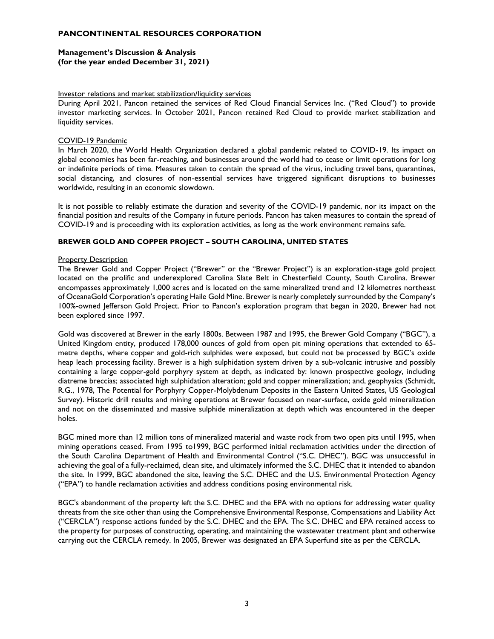# **Management's Discussion & Analysis (for the year ended December 31, 2021)**

#### Investor relations and market stabilization/liquidity services

During April 2021, Pancon retained the services of Red Cloud Financial Services Inc. ("Red Cloud") to provide investor marketing services. In October 2021, Pancon retained Red Cloud to provide market stabilization and liquidity services.

#### COVID-19 Pandemic

In March 2020, the World Health Organization declared a global pandemic related to COVID-19. Its impact on global economies has been far-reaching, and businesses around the world had to cease or limit operations for long or indefinite periods of time. Measures taken to contain the spread of the virus, including travel bans, quarantines, social distancing, and closures of non-essential services have triggered significant disruptions to businesses worldwide, resulting in an economic slowdown.

It is not possible to reliably estimate the duration and severity of the COVID-19 pandemic, nor its impact on the financial position and results of the Company in future periods. Pancon has taken measures to contain the spread of COVID-19 and is proceeding with its exploration activities, as long as the work environment remains safe.

### **BREWER GOLD AND COPPER PROJECT – SOUTH CAROLINA, UNITED STATES**

#### Property Description

The Brewer Gold and Copper Project ("Brewer" or the "Brewer Project") is an exploration-stage gold project located on the prolific and underexplored Carolina Slate Belt in Chesterfield County, South Carolina. Brewer encompasses approximately 1,000 acres and is located on the same mineralized trend and 12 kilometres northeast of OceanaGold Corporation's operating Haile Gold Mine. Brewer is nearly completely surrounded by the Company's 100%-owned Jefferson Gold Project. Prior to Pancon's exploration program that began in 2020, Brewer had not been explored since 1997.

Gold was discovered at Brewer in the early 1800s. Between 1987 and 1995, the Brewer Gold Company ("BGC"), a United Kingdom entity, produced 178,000 ounces of gold from open pit mining operations that extended to 65 metre depths, where copper and gold-rich sulphides were exposed, but could not be processed by BGC's oxide heap leach processing facility. Brewer is a high sulphidation system driven by a sub-volcanic intrusive and possibly containing a large copper-gold porphyry system at depth, as indicated by: known prospective geology, including diatreme breccias; associated high sulphidation alteration; gold and copper mineralization; and, geophysics (Schmidt, R.G., 1978, The Potential for Porphyry Copper-Molybdenum Deposits in the Eastern United States, US Geological Survey). Historic drill results and mining operations at Brewer focused on near-surface, oxide gold mineralization and not on the disseminated and massive sulphide mineralization at depth which was encountered in the deeper holes.

BGC mined more than 12 million tons of mineralized material and waste rock from two open pits until 1995, when mining operations ceased. From 1995 to1999, BGC performed initial reclamation activities under the direction of the South Carolina Department of Health and Environmental Control ("S.C. DHEC"). BGC was unsuccessful in achieving the goal of a fully-reclaimed, clean site, and ultimately informed the S.C. DHEC that it intended to abandon the site. In 1999, BGC abandoned the site, leaving the S.C. DHEC and the U.S. Environmental Protection Agency ("EPA") to handle reclamation activities and address conditions posing environmental risk.

BGC's abandonment of the property left the S.C. DHEC and the EPA with no options for addressing water quality threats from the site other than using the Comprehensive Environmental Response, Compensations and Liability Act ("CERCLA") response actions funded by the S.C. DHEC and the EPA. The S.C. DHEC and EPA retained access to the property for purposes of constructing, operating, and maintaining the wastewater treatment plant and otherwise carrying out the CERCLA remedy. In 2005, Brewer was designated an EPA Superfund site as per the CERCLA.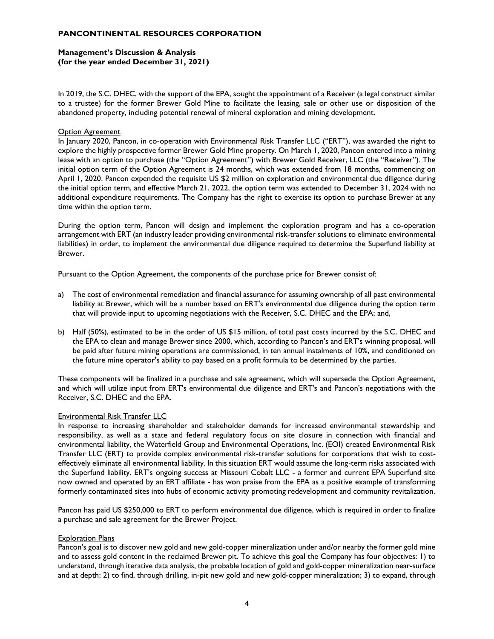# **Management's Discussion & Analysis (for the year ended December 31, 2021)**

In 2019, the S.C. DHEC, with the support of the EPA, sought the appointment of a Receiver (a legal construct similar to a trustee) for the former Brewer Gold Mine to facilitate the leasing, sale or other use or disposition of the abandoned property, including potential renewal of mineral exploration and mining development.

### Option Agreement

In January 2020, Pancon, in co-operation with Environmental Risk Transfer LLC ("ERT"), was awarded the right to explore the highly prospective former Brewer Gold Mine property. On March 1, 2020, Pancon entered into a mining lease with an option to purchase (the "Option Agreement") with Brewer Gold Receiver, LLC (the "Receiver"). The initial option term of the Option Agreement is 24 months, which was extended from 18 months, commencing on April 1, 2020. Pancon expended the requisite US \$2 million on exploration and environmental due diligence during the initial option term, and effective March 21, 2022, the option term was extended to December 31, 2024 with no additional expenditure requirements. The Company has the right to exercise its option to purchase Brewer at any time within the option term.

During the option term, Pancon will design and implement the exploration program and has a co-operation arrangement with ERT (an industry leader providing environmental risk-transfer solutions to eliminate environmental liabilities) in order, to implement the environmental due diligence required to determine the Superfund liability at Brewer.

Pursuant to the Option Agreement, the components of the purchase price for Brewer consist of:

- a) The cost of environmental remediation and financial assurance for assuming ownership of all past environmental liability at Brewer, which will be a number based on ERT's environmental due diligence during the option term that will provide input to upcoming negotiations with the Receiver, S.C. DHEC and the EPA; and,
- b) Half (50%), estimated to be in the order of US \$15 million, of total past costs incurred by the S.C. DHEC and the EPA to clean and manage Brewer since 2000, which, according to Pancon's and ERT's winning proposal, will be paid after future mining operations are commissioned, in ten annual instalments of 10%, and conditioned on the future mine operator's ability to pay based on a profit formula to be determined by the parties.

These components will be finalized in a purchase and sale agreement, which will supersede the Option Agreement, and which will utilize input from ERT's environmental due diligence and ERT's and Pancon's negotiations with the Receiver, S.C. DHEC and the EPA.

# Environmental Risk Transfer LLC

In response to increasing shareholder and stakeholder demands for increased environmental stewardship and responsibility, as well as a state and federal regulatory focus on site closure in connection with financial and environmental liability, the Waterfield Group and Environmental Operations, Inc. (EOI) created Environmental Risk Transfer LLC (ERT) to provide complex environmental risk-transfer solutions for corporations that wish to costeffectively eliminate all environmental liability. In this situation ERT would assume the long-term risks associated with the Superfund liability. ERT's ongoing success at Missouri Cobalt LLC - a former and current EPA Superfund site now owned and operated by an ERT affiliate - has won praise from the EPA as a positive example of transforming formerly contaminated sites into hubs of economic activity promoting redevelopment and community revitalization.

Pancon has paid US \$250,000 to ERT to perform environmental due diligence, which is required in order to finalize a purchase and sale agreement for the Brewer Project.

# Exploration Plans

Pancon's goal is to discover new gold and new gold-copper mineralization under and/or nearby the former gold mine and to assess gold content in the reclaimed Brewer pit. To achieve this goal the Company has four objectives: 1) to understand, through iterative data analysis, the probable location of gold and gold-copper mineralization near-surface and at depth; 2) to find, through drilling, in-pit new gold and new gold-copper mineralization; 3) to expand, through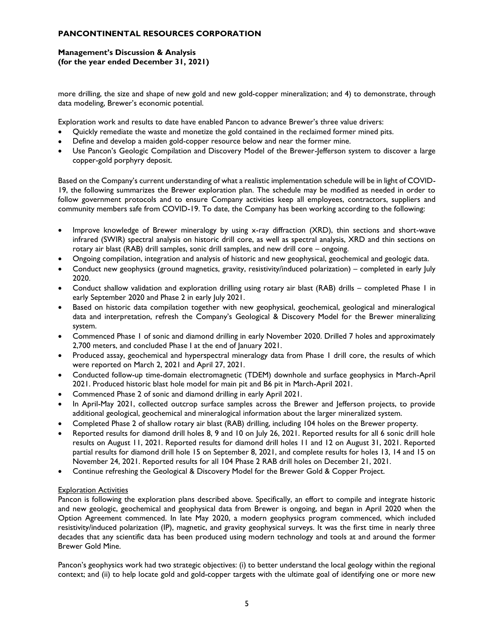# **Management's Discussion & Analysis (for the year ended December 31, 2021)**

more drilling, the size and shape of new gold and new gold-copper mineralization; and 4) to demonstrate, through data modeling, Brewer's economic potential.

Exploration work and results to date have enabled Pancon to advance Brewer's three value drivers:

- Quickly remediate the waste and monetize the gold contained in the reclaimed former mined pits.
- Define and develop a maiden gold-copper resource below and near the former mine.
- Use Pancon's Geologic Compilation and Discovery Model of the Brewer-Jefferson system to discover a large copper-gold porphyry deposit.

Based on the Company's current understanding of what a realistic implementation schedule will be in light of COVID-19, the following summarizes the Brewer exploration plan. The schedule may be modified as needed in order to follow government protocols and to ensure Company activities keep all employees, contractors, suppliers and community members safe from COVID-19. To date, the Company has been working according to the following:

- Improve knowledge of Brewer mineralogy by using x-ray diffraction (XRD), thin sections and short-wave infrared (SWIR) spectral analysis on historic drill core, as well as spectral analysis, XRD and thin sections on rotary air blast (RAB) drill samples, sonic drill samples, and new drill core – ongoing.
- Ongoing compilation, integration and analysis of historic and new geophysical, geochemical and geologic data.
- Conduct new geophysics (ground magnetics, gravity, resistivity/induced polarization) completed in early July 2020.
- Conduct shallow validation and exploration drilling using rotary air blast (RAB) drills completed Phase 1 in early September 2020 and Phase 2 in early July 2021.
- Based on historic data compilation together with new geophysical, geochemical, geological and mineralogical data and interpretation, refresh the Company's Geological & Discovery Model for the Brewer mineralizing system.
- Commenced Phase 1 of sonic and diamond drilling in early November 2020. Drilled 7 holes and approximately 2,700 meters, and concluded Phase I at the end of January 2021.
- Produced assay, geochemical and hyperspectral mineralogy data from Phase 1 drill core, the results of which were reported on March 2, 2021 and April 27, 2021.
- Conducted follow-up time-domain electromagnetic (TDEM) downhole and surface geophysics in March-April 2021. Produced historic blast hole model for main pit and B6 pit in March-April 2021.
- Commenced Phase 2 of sonic and diamond drilling in early April 2021.
- In April-May 2021, collected outcrop surface samples across the Brewer and Jefferson projects, to provide additional geological, geochemical and mineralogical information about the larger mineralized system.
- Completed Phase 2 of shallow rotary air blast (RAB) drilling, including 104 holes on the Brewer property.
- Reported results for diamond drill holes 8, 9 and 10 on July 26, 2021. Reported results for all 6 sonic drill hole results on August 11, 2021. Reported results for diamond drill holes 11 and 12 on August 31, 2021. Reported partial results for diamond drill hole 15 on September 8, 2021, and complete results for holes 13, 14 and 15 on November 24, 2021. Reported results for all 104 Phase 2 RAB drill holes on December 21, 2021.
- Continue refreshing the Geological & Discovery Model for the Brewer Gold & Copper Project.

# Exploration Activities

Pancon is following the exploration plans described above. Specifically, an effort to compile and integrate historic and new geologic, geochemical and geophysical data from Brewer is ongoing, and began in April 2020 when the Option Agreement commenced. In late May 2020, a modern geophysics program commenced, which included resistivity/induced polarization (IP), magnetic, and gravity geophysical surveys. It was the first time in nearly three decades that any scientific data has been produced using modern technology and tools at and around the former Brewer Gold Mine.

Pancon's geophysics work had two strategic objectives: (i) to better understand the local geology within the regional context; and (ii) to help locate gold and gold-copper targets with the ultimate goal of identifying one or more new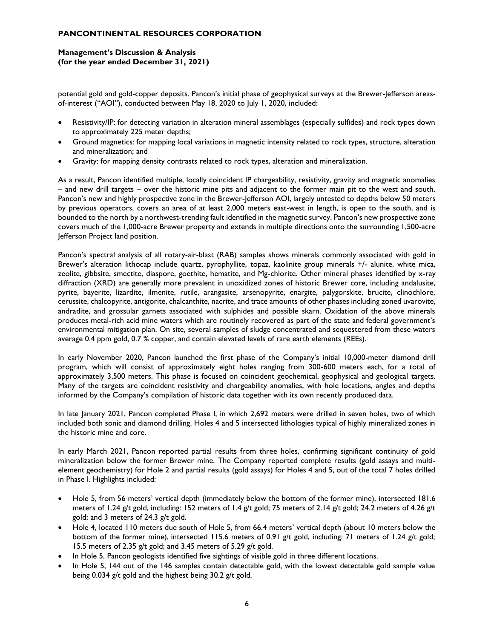# **Management's Discussion & Analysis (for the year ended December 31, 2021)**

potential gold and gold-copper deposits. Pancon's initial phase of geophysical surveys at the Brewer-Jefferson areasof-interest ("AOI"), conducted between May 18, 2020 to July 1, 2020, included:

- Resistivity/IP: for detecting variation in alteration mineral assemblages (especially sulfides) and rock types down to approximately 225 meter depths;
- Ground magnetics: for mapping local variations in magnetic intensity related to rock types, structure, alteration and mineralization; and
- Gravity: for mapping density contrasts related to rock types, alteration and mineralization.

As a result, Pancon identified multiple, locally coincident IP chargeability, resistivity, gravity and magnetic anomalies – and new drill targets – over the historic mine pits and adjacent to the former main pit to the west and south. Pancon's new and highly prospective zone in the Brewer-Jefferson AOI, largely untested to depths below 50 meters by previous operators, covers an area of at least 2,000 meters east-west in length, is open to the south, and is bounded to the north by a northwest-trending fault identified in the magnetic survey. Pancon's new prospective zone covers much of the 1,000-acre Brewer property and extends in multiple directions onto the surrounding 1,500-acre Jefferson Project land position.

Pancon's spectral analysis of all rotary-air-blast (RAB) samples shows minerals commonly associated with gold in Brewer's alteration lithocap include quartz, pyrophyllite, topaz, kaolinite group minerals +/- alunite, white mica, zeolite, gibbsite, smectite, diaspore, goethite, hematite, and Mg-chlorite. Other mineral phases identified by x-ray diffraction (XRD) are generally more prevalent in unoxidized zones of historic Brewer core, including andalusite, pyrite, bayerite, lizardite, ilmenite, rutile, arangasite, arsenopyrite, enargite, palygorskite, brucite, clinochlore, cerussite, chalcopyrite, antigorite, chalcanthite, nacrite, and trace amounts of other phases including zoned uvarovite, andradite, and grossular garnets associated with sulphides and possible skarn. Oxidation of the above minerals produces metal-rich acid mine waters which are routinely recovered as part of the state and federal government's environmental mitigation plan. On site, several samples of sludge concentrated and sequestered from these waters average 0.4 ppm gold, 0.7 % copper, and contain elevated levels of rare earth elements (REEs).

In early November 2020, Pancon launched the first phase of the Company's initial 10,000-meter diamond drill program, which will consist of approximately eight holes ranging from 300-600 meters each, for a total of approximately 3,500 meters. This phase is focused on coincident geochemical, geophysical and geological targets. Many of the targets are coincident resistivity and chargeability anomalies, with hole locations, angles and depths informed by the Company's compilation of historic data together with its own recently produced data.

In late January 2021, Pancon completed Phase I, in which 2,692 meters were drilled in seven holes, two of which included both sonic and diamond drilling. Holes 4 and 5 intersected lithologies typical of highly mineralized zones in the historic mine and core.

In early March 2021, Pancon reported partial results from three holes, confirming significant continuity of gold mineralization below the former Brewer mine. The Company reported complete results (gold assays and multielement geochemistry) for Hole 2 and partial results (gold assays) for Holes 4 and 5, out of the total 7 holes drilled in Phase I. Highlights included:

- Hole 5, from 56 meters' vertical depth (immediately below the bottom of the former mine), intersected 181.6 meters of 1.24 g/t gold, including: 152 meters of 1.4 g/t gold; 75 meters of 2.14 g/t gold; 24.2 meters of 4.26 g/t gold; and 3 meters of 24.3 g/t gold.
- Hole 4, located 110 meters due south of Hole 5, from 66.4 meters' vertical depth (about 10 meters below the bottom of the former mine), intersected 115.6 meters of 0.91 g/t gold, including: 71 meters of 1.24 g/t gold; 15.5 meters of 2.35 g/t gold; and 3.45 meters of 5.29 g/t gold.
- In Hole 5, Pancon geologists identified five sightings of visible gold in three different locations.
- In Hole 5, 144 out of the 146 samples contain detectable gold, with the lowest detectable gold sample value being 0.034 g/t gold and the highest being 30.2 g/t gold.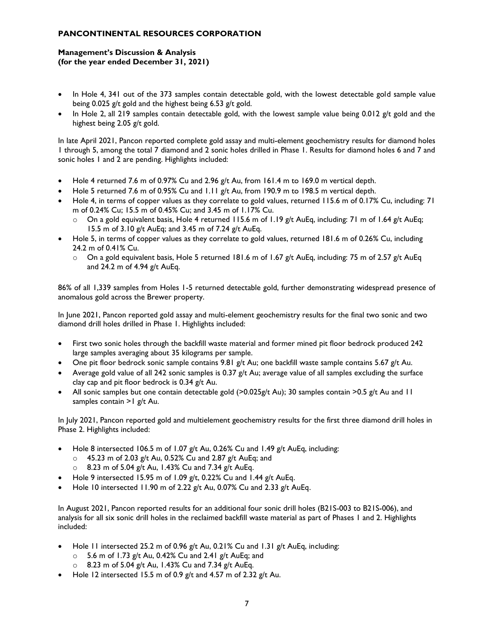# **Management's Discussion & Analysis (for the year ended December 31, 2021)**

- In Hole 4, 341 out of the 373 samples contain detectable gold, with the lowest detectable gold sample value being 0.025 g/t gold and the highest being 6.53 g/t gold.
- In Hole 2, all 219 samples contain detectable gold, with the lowest sample value being 0.012 g/t gold and the highest being 2.05 g/t gold.

In late April 2021, Pancon reported complete gold assay and multi-element geochemistry results for diamond holes 1 through 5, among the total 7 diamond and 2 sonic holes drilled in Phase 1. Results for diamond holes 6 and 7 and sonic holes 1 and 2 are pending. Highlights included:

- Hole 4 returned 7.6 m of 0.97% Cu and 2.96 g/t Au, from 161.4 m to 169.0 m vertical depth.
- Hole 5 returned 7.6 m of 0.95% Cu and 1.11 g/t Au, from 190.9 m to 198.5 m vertical depth.
- Hole 4, in terms of copper values as they correlate to gold values, returned 115.6 m of 0.17% Cu, including: 71 m of 0.24% Cu; 15.5 m of 0.45% Cu; and 3.45 m of 1.17% Cu.
	- $\circ$  On a gold equivalent basis, Hole 4 returned 115.6 m of 1.19 g/t AuEq, including: 71 m of 1.64 g/t AuEq; 15.5 m of 3.10 g/t AuEq; and 3.45 m of 7.24 g/t AuEq.
- Hole 5, in terms of copper values as they correlate to gold values, returned 181.6 m of 0.26% Cu, including 24.2 m of 0.41% Cu.
	- $\circ$  On a gold equivalent basis, Hole 5 returned 181.6 m of 1.67 g/t AuEq, including: 75 m of 2.57 g/t AuEq and 24.2 m of 4.94 g/t AuEq.

86% of all 1,339 samples from Holes 1-5 returned detectable gold, further demonstrating widespread presence of anomalous gold across the Brewer property.

In June 2021, Pancon reported gold assay and multi-element geochemistry results for the final two sonic and two diamond drill holes drilled in Phase 1. Highlights included:

- First two sonic holes through the backfill waste material and former mined pit floor bedrock produced 242 large samples averaging about 35 kilograms per sample.
- One pit floor bedrock sonic sample contains 9.81 g/t Au; one backfill waste sample contains 5.67 g/t Au.
- Average gold value of all 242 sonic samples is 0.37 g/t Au; average value of all samples excluding the surface clay cap and pit floor bedrock is 0.34 g/t Au.
- All sonic samples but one contain detectable gold ( $>0.025$ g/t Au); 30 samples contain  $>0.5$  g/t Au and II samples contain >1 g/t Au.

In July 2021, Pancon reported gold and multielement geochemistry results for the first three diamond drill holes in Phase 2. Highlights included:

- Hole 8 intersected 106.5 m of 1.07 g/t Au, 0.26% Cu and 1.49 g/t AuEq, including:
	- $\circ$  45.23 m of 2.03 g/t Au, 0.52% Cu and 2.87 g/t AuEq; and
	- 8.23 m of 5.04 g/t Au, 1.43% Cu and 7.34 g/t AuEq.
- Hole 9 intersected 15.95 m of 1.09 g/t, 0.22% Cu and 1.44 g/t AuEq.
- Hole 10 intersected 11.90 m of 2.22 g/t Au, 0.07% Cu and 2.33 g/t AuEq.

In August 2021, Pancon reported results for an additional four sonic drill holes (B21S-003 to B21S-006), and analysis for all six sonic drill holes in the reclaimed backfill waste material as part of Phases 1 and 2. Highlights included:

- Hole 11 intersected 25.2 m of 0.96 g/t Au, 0.21% Cu and 1.31 g/t AuEq, including:
	- $\circ$  5.6 m of 1.73 g/t Au, 0.42% Cu and 2.41 g/t AuEq; and
	- 8.23 m of 5.04 g/t Au, 1.43% Cu and 7.34 g/t AuEq.
- Hole 12 intersected 15.5 m of 0.9  $g/t$  and 4.57 m of 2.32  $g/t$  Au.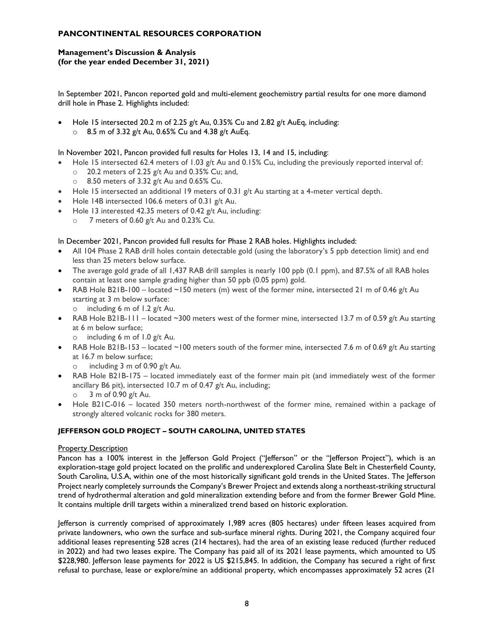# **Management's Discussion & Analysis (for the year ended December 31, 2021)**

In September 2021, Pancon reported gold and multi-element geochemistry partial results for one more diamond drill hole in Phase 2. Highlights included:

• Hole 15 intersected 20.2 m of 2.25 g/t Au, 0.35% Cu and 2.82 g/t AuEq, including:  $\circ$  8.5 m of 3.32 g/t Au, 0.65% Cu and 4.38 g/t AuEq.

In November 2021, Pancon provided full results for Holes 13, 14 and 15, including:

- Hole 15 intersected 62.4 meters of 1.03 g/t Au and 0.15% Cu, including the previously reported interval of:
	- $\degree$  20.2 meters of 2.25 g/t Au and 0.35% Cu; and,
	- $\circ$  8.50 meters of 3.32 g/t Au and 0.65% Cu.
- Hole 15 intersected an additional 19 meters of 0.31 g/t Au starting at a 4-meter vertical depth.
- Hole 14B intersected 106.6 meters of 0.31 g/t Au.
- Hole 13 interested 42.35 meters of 0.42 g/t Au, including:
	- $\circ$  7 meters of 0.60 g/t Au and 0.23% Cu.

### In December 2021, Pancon provided full results for Phase 2 RAB holes. Highlights included:

- All 104 Phase 2 RAB drill holes contain detectable gold (using the laboratory's 5 ppb detection limit) and end less than 25 meters below surface.
- The average gold grade of all 1,437 RAB drill samples is nearly 100 ppb (0.1 ppm), and 87.5% of all RAB holes contain at least one sample grading higher than 50 ppb (0.05 ppm) gold.
- RAB Hole B21B-100 located ~150 meters (m) west of the former mine, intersected 21 m of 0.46 g/t Au starting at 3 m below surface:
	- $\circ$  including 6 m of 1.2 g/t Au.
- RAB Hole B21B-111 located ~300 meters west of the former mine, intersected 13.7 m of 0.59 g/t Au starting at 6 m below surface;
	- $\circ$  including 6 m of 1.0 g/t Au.
- RAB Hole B21B-153 located ~100 meters south of the former mine, intersected 7.6 m of 0.69 g/t Au starting at 16.7 m below surface;
	- $\circ$  including 3 m of 0.90 g/t Au.
- RAB Hole B21B-175 located immediately east of the former main pit (and immediately west of the former ancillary B6 pit), intersected 10.7 m of 0.47 g/t Au, including;
	- o 3 m of 0.90 g/t Au.
- Hole B21C-016 located 350 meters north-northwest of the former mine, remained within a package of strongly altered volcanic rocks for 380 meters.

#### **JEFFERSON GOLD PROJECT – SOUTH CAROLINA, UNITED STATES**

#### **Property Description**

Pancon has a 100% interest in the Jefferson Gold Project ("Jefferson" or the "Jefferson Project"), which is an exploration-stage gold project located on the prolific and underexplored Carolina Slate Belt in Chesterfield County, South Carolina, U.S.A, within one of the most historically significant gold trends in the United States. The Jefferson Project nearly completely surrounds the Company's Brewer Project and extends along a northeast-striking structural trend of hydrothermal alteration and gold mineralization extending before and from the former Brewer Gold Mine. It contains multiple drill targets within a mineralized trend based on historic exploration.

Jefferson is currently comprised of approximately 1,989 acres (805 hectares) under fifteen leases acquired from private landowners, who own the surface and sub-surface mineral rights. During 2021, the Company acquired four additional leases representing 528 acres (214 hectares), had the area of an existing lease reduced (further reduced in 2022) and had two leases expire. The Company has paid all of its 2021 lease payments, which amounted to US \$228,980. Jefferson lease payments for 2022 is US \$215,845. In addition, the Company has secured a right of first refusal to purchase, lease or explore/mine an additional property, which encompasses approximately 52 acres (21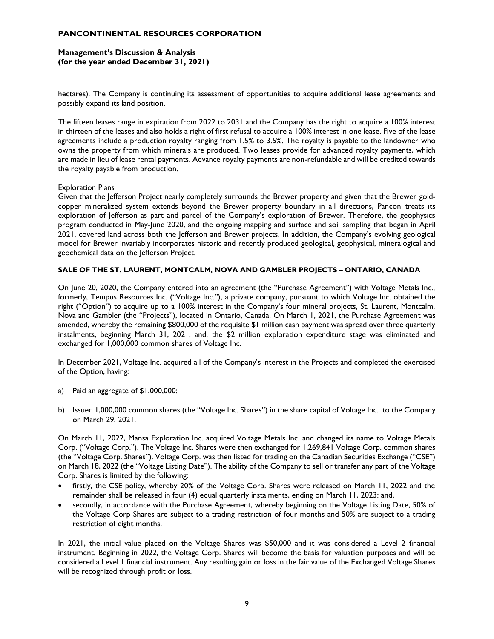# **Management's Discussion & Analysis (for the year ended December 31, 2021)**

hectares). The Company is continuing its assessment of opportunities to acquire additional lease agreements and possibly expand its land position.

The fifteen leases range in expiration from 2022 to 2031 and the Company has the right to acquire a 100% interest in thirteen of the leases and also holds a right of first refusal to acquire a 100% interest in one lease. Five of the lease agreements include a production royalty ranging from 1.5% to 3.5%. The royalty is payable to the landowner who owns the property from which minerals are produced. Two leases provide for advanced royalty payments, which are made in lieu of lease rental payments. Advance royalty payments are non-refundable and will be credited towards the royalty payable from production.

### Exploration Plans

Given that the Jefferson Project nearly completely surrounds the Brewer property and given that the Brewer goldcopper mineralized system extends beyond the Brewer property boundary in all directions, Pancon treats its exploration of Jefferson as part and parcel of the Company's exploration of Brewer. Therefore, the geophysics program conducted in May-June 2020, and the ongoing mapping and surface and soil sampling that began in April 2021, covered land across both the Jefferson and Brewer projects. In addition, the Company's evolving geological model for Brewer invariably incorporates historic and recently produced geological, geophysical, mineralogical and geochemical data on the Jefferson Project.

### **SALE OF THE ST. LAURENT, MONTCALM, NOVA AND GAMBLER PROJECTS – ONTARIO, CANADA**

On June 20, 2020, the Company entered into an agreement (the "Purchase Agreement") with Voltage Metals Inc., formerly, Tempus Resources Inc. ("Voltage Inc."), a private company, pursuant to which Voltage Inc. obtained the right ("Option") to acquire up to a 100% interest in the Company's four mineral projects, St. Laurent, Montcalm, Nova and Gambler (the "Projects"), located in Ontario, Canada. On March 1, 2021, the Purchase Agreement was amended, whereby the remaining \$800,000 of the requisite \$1 million cash payment was spread over three quarterly instalments, beginning March 31, 2021; and, the \$2 million exploration expenditure stage was eliminated and exchanged for 1,000,000 common shares of Voltage Inc.

In December 2021, Voltage Inc. acquired all of the Company's interest in the Projects and completed the exercised of the Option, having:

- a) Paid an aggregate of \$1,000,000:
- b) Issued 1,000,000 common shares (the "Voltage Inc. Shares") in the share capital of Voltage Inc. to the Company on March 29, 2021.

On March 11, 2022, Mansa Exploration Inc. acquired Voltage Metals Inc. and changed its name to Voltage Metals Corp. ("Voltage Corp."). The Voltage Inc. Shares were then exchanged for 1,269,841 Voltage Corp. common shares (the "Voltage Corp. Shares"). Voltage Corp. was then listed for trading on the Canadian Securities Exchange ("CSE") on March 18, 2022 (the "Voltage Listing Date"). The ability of the Company to sell or transfer any part of the Voltage Corp. Shares is limited by the following:

- firstly, the CSE policy, whereby 20% of the Voltage Corp. Shares were released on March 11, 2022 and the remainder shall be released in four (4) equal quarterly instalments, ending on March 11, 2023: and,
- secondly, in accordance with the Purchase Agreement, whereby beginning on the Voltage Listing Date, 50% of the Voltage Corp Shares are subject to a trading restriction of four months and 50% are subject to a trading restriction of eight months.

In 2021, the initial value placed on the Voltage Shares was \$50,000 and it was considered a Level 2 financial instrument. Beginning in 2022, the Voltage Corp. Shares will become the basis for valuation purposes and will be considered a Level 1 financial instrument. Any resulting gain or loss in the fair value of the Exchanged Voltage Shares will be recognized through profit or loss.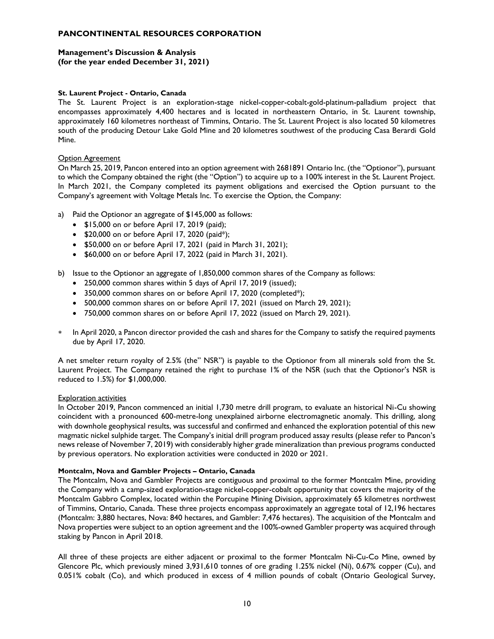# **Management's Discussion & Analysis (for the year ended December 31, 2021)**

# **St. Laurent Project - Ontario, Canada**

The St. Laurent Project is an exploration-stage nickel-copper-cobalt-gold-platinum-palladium project that encompasses approximately 4,400 hectares and is located in northeastern Ontario, in St. Laurent township, approximately 160 kilometres northeast of Timmins, Ontario. The St. Laurent Project is also located 50 kilometres south of the producing Detour Lake Gold Mine and 20 kilometres southwest of the producing Casa Berardi Gold Mine.

### **Option Agreement**

On March 25, 2019, Pancon entered into an option agreement with 2681891 Ontario Inc. (the "Optionor"), pursuant to which the Company obtained the right (the "Option") to acquire up to a 100% interest in the St. Laurent Project. In March 2021, the Company completed its payment obligations and exercised the Option pursuant to the Company's agreement with Voltage Metals Inc. To exercise the Option, the Company:

- a) Paid the Optionor an aggregate of \$145,000 as follows:
	- \$15,000 on or before April 17, 2019 (paid);
	- \$20,000 on or before April 17, 2020 (paid\*);
	- \$50,000 on or before April 17, 2021 (paid in March 31, 2021);
	- \$60,000 on or before April 17, 2022 (paid in March 31, 2021).
- b) Issue to the Optionor an aggregate of 1,850,000 common shares of the Company as follows:
	- 250,000 common shares within 5 days of April 17, 2019 (issued);
	- 350,000 common shares on or before April 17, 2020 (completed\*);
	- 500,000 common shares on or before April 17, 2021 (issued on March 29, 2021);
	- 750,000 common shares on or before April 17, 2022 (issued on March 29, 2021).
- In April 2020, a Pancon director provided the cash and shares for the Company to satisfy the required payments due by April 17, 2020.

A net smelter return royalty of 2.5% (the" NSR") is payable to the Optionor from all minerals sold from the St. Laurent Project. The Company retained the right to purchase 1% of the NSR (such that the Optionor's NSR is reduced to 1.5%) for \$1,000,000.

#### Exploration activities

In October 2019, Pancon commenced an initial 1,730 metre drill program, to evaluate an historical Ni-Cu showing coincident with a pronounced 600-metre-long unexplained airborne electromagnetic anomaly. This drilling, along with downhole geophysical results, was successful and confirmed and enhanced the exploration potential of this new magmatic nickel sulphide target. The Company's initial drill program produced assay results (please refer to Pancon's news release of November 7, 2019) with considerably higher grade mineralization than previous programs conducted by previous operators. No exploration activities were conducted in 2020 or 2021.

### **Montcalm, Nova and Gambler Projects – Ontario, Canada**

The Montcalm, Nova and Gambler Projects are contiguous and proximal to the former Montcalm Mine, providing the Company with a camp-sized exploration-stage nickel-copper-cobalt opportunity that covers the majority of the Montcalm Gabbro Complex, located within the Porcupine Mining Division, approximately 65 kilometres northwest of Timmins, Ontario, Canada. These three projects encompass approximately an aggregate total of 12,196 hectares (Montcalm: 3,880 hectares, Nova: 840 hectares, and Gambler: 7,476 hectares). The acquisition of the Montcalm and Nova properties were subject to an option agreement and the 100%-owned Gambler property was acquired through staking by Pancon in April 2018.

All three of these projects are either adjacent or proximal to the former Montcalm Ni-Cu-Co Mine, owned by Glencore Plc, which previously mined 3,931,610 tonnes of ore grading 1.25% nickel (Ni), 0.67% copper (Cu), and 0.051% cobalt (Co), and which produced in excess of 4 million pounds of cobalt (Ontario Geological Survey,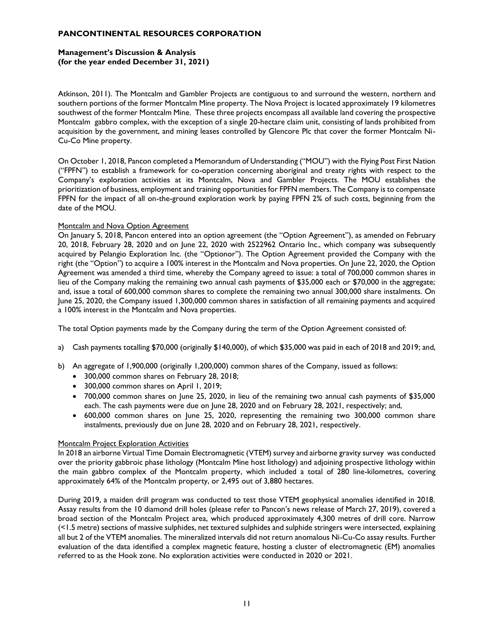# **Management's Discussion & Analysis (for the year ended December 31, 2021)**

Atkinson, 2011). The Montcalm and Gambler Projects are contiguous to and surround the western, northern and southern portions of the former Montcalm Mine property. The Nova Project is located approximately 19 kilometres southwest of the former Montcalm Mine. These three projects encompass all available land covering the prospective Montcalm gabbro complex, with the exception of a single 20-hectare claim unit, consisting of lands prohibited from acquisition by the government, and mining leases controlled by Glencore Plc that cover the former Montcalm Ni-Cu-Co Mine property.

On October 1, 2018, Pancon completed a Memorandum of Understanding ("MOU") with the Flying Post First Nation ("FPFN") to establish a framework for co-operation concerning aboriginal and treaty rights with respect to the Company's exploration activities at its Montcalm, Nova and Gambler Projects. The MOU establishes the prioritization of business, employment and training opportunities for FPFN members. The Company is to compensate FPFN for the impact of all on-the-ground exploration work by paying FPFN 2% of such costs, beginning from the date of the MOU.

# Montcalm and Nova Option Agreement

On January 5, 2018, Pancon entered into an option agreement (the "Option Agreement"), as amended on February 20, 2018, February 28, 2020 and on June 22, 2020 with 2522962 Ontario Inc., which company was subsequently acquired by Pelangio Exploration Inc. (the "Optionor"). The Option Agreement provided the Company with the right (the "Option") to acquire a 100% interest in the Montcalm and Nova properties. On June 22, 2020, the Option Agreement was amended a third time, whereby the Company agreed to issue: a total of 700,000 common shares in lieu of the Company making the remaining two annual cash payments of \$35,000 each or \$70,000 in the aggregate; and, issue a total of 600,000 common shares to complete the remaining two annual 300,000 share instalments. On June 25, 2020, the Company issued 1,300,000 common shares in satisfaction of all remaining payments and acquired a 100% interest in the Montcalm and Nova properties.

The total Option payments made by the Company during the term of the Option Agreement consisted of:

- a) Cash payments totalling \$70,000 (originally \$140,000), of which \$35,000 was paid in each of 2018 and 2019; and,
- b) An aggregate of 1,900,000 (originally 1,200,000) common shares of the Company, issued as follows:
	- 300,000 common shares on February 28, 2018;
	- 300,000 common shares on April 1, 2019;
	- 700,000 common shares on June 25, 2020, in lieu of the remaining two annual cash payments of \$35,000 each. The cash payments were due on June 28, 2020 and on February 28, 2021, respectively; and,
	- 600,000 common shares on June 25, 2020, representing the remaining two 300,000 common share instalments, previously due on June 28, 2020 and on February 28, 2021, respectively.

#### Montcalm Project Exploration Activities

In 2018 an airborne Virtual Time Domain Electromagnetic (VTEM) survey and airborne gravity survey was conducted over the priority gabbroic phase lithology (Montcalm Mine host lithology) and adjoining prospective lithology within the main gabbro complex of the Montcalm property, which included a total of 280 line-kilometres, covering approximately 64% of the Montcalm property, or 2,495 out of 3,880 hectares.

During 2019, a maiden drill program was conducted to test those VTEM geophysical anomalies identified in 2018. Assay results from the 10 diamond drill holes (please refer to Pancon's news release of March 27, 2019), covered a broad section of the Montcalm Project area, which produced approximately 4,300 metres of drill core. Narrow (<1.5 metre) sections of massive sulphides, net textured sulphides and sulphide stringers were intersected, explaining all but 2 of the VTEM anomalies. The mineralized intervals did not return anomalous Ni-Cu-Co assay results. Further evaluation of the data identified a complex magnetic feature, hosting a cluster of electromagnetic (EM) anomalies referred to as the Hook zone. No exploration activities were conducted in 2020 or 2021.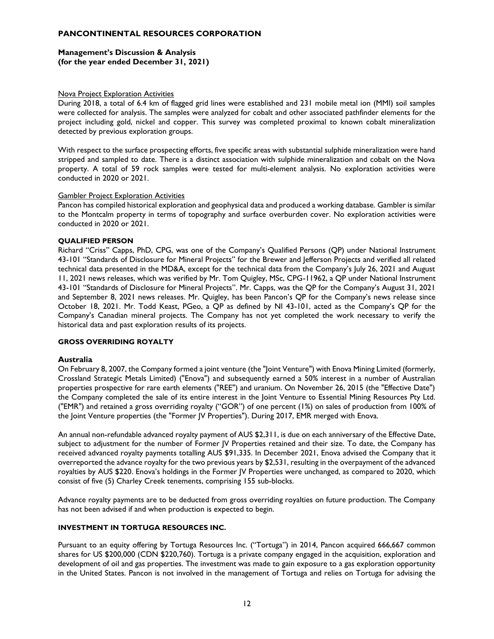# **Management's Discussion & Analysis (for the year ended December 31, 2021)**

### Nova Project Exploration Activities

During 2018, a total of 6.4 km of flagged grid lines were established and 231 mobile metal ion (MMI) soil samples were collected for analysis. The samples were analyzed for cobalt and other associated pathfinder elements for the project including gold, nickel and copper. This survey was completed proximal to known cobalt mineralization detected by previous exploration groups.

With respect to the surface prospecting efforts, five specific areas with substantial sulphide mineralization were hand stripped and sampled to date. There is a distinct association with sulphide mineralization and cobalt on the Nova property. A total of 59 rock samples were tested for multi-element analysis. No exploration activities were conducted in 2020 or 2021.

### Gambler Project Exploration Activities

Pancon has compiled historical exploration and geophysical data and produced a working database. Gambler is similar to the Montcalm property in terms of topography and surface overburden cover. No exploration activities were conducted in 2020 or 2021.

### **QUALIFIED PERSON**

Richard "Criss" Capps, PhD, CPG, was one of the Company's Qualified Persons (QP) under National Instrument 43-101 "Standards of Disclosure for Mineral Projects" for the Brewer and Jefferson Projects and verified all related technical data presented in the MD&A, except for the technical data from the Company's July 26, 2021 and August 11, 2021 news releases, which was verified by Mr. Tom Quigley, MSc, CPG-11962, a QP under National Instrument 43-101 "Standards of Disclosure for Mineral Projects". Mr. Capps, was the QP for the Company's August 31, 2021 and September 8, 2021 news releases. Mr. Quigley, has been Pancon's QP for the Company's news release since October 18, 2021. Mr. Todd Keast, PGeo, a QP as defined by NI 43-101, acted as the Company's QP for the Company's Canadian mineral projects. The Company has not yet completed the work necessary to verify the historical data and past exploration results of its projects.

### **GROSS OVERRIDING ROYALTY**

#### **Australia**

On February 8, 2007, the Company formed a joint venture (the "Joint Venture") with Enova Mining Limited (formerly, Crossland Strategic Metals Limited) ("Enova") and subsequently earned a 50% interest in a number of Australian properties prospective for rare earth elements ("REE") and uranium. On November 26, 2015 (the "Effective Date") the Company completed the sale of its entire interest in the Joint Venture to Essential Mining Resources Pty Ltd. ("EMR") and retained a gross overriding royalty ("GOR") of one percent (1%) on sales of production from 100% of the Joint Venture properties (the "Former JV Properties"). During 2017, EMR merged with Enova.

An annual non-refundable advanced royalty payment of AUS \$2,311, is due on each anniversary of the Effective Date, subject to adjustment for the number of Former JV Properties retained and their size. To date, the Company has received advanced royalty payments totalling AUS \$91,335. In December 2021, Enova advised the Company that it overreported the advance royalty for the two previous years by \$2,531, resulting in the overpayment of the advanced royalties by AUS \$220. Enova's holdings in the Former JV Properties were unchanged, as compared to 2020, which consist of five (5) Charley Creek tenements, comprising 155 sub-blocks.

Advance royalty payments are to be deducted from gross overriding royalties on future production. The Company has not been advised if and when production is expected to begin.

# **INVESTMENT IN TORTUGA RESOURCES INC.**

Pursuant to an equity offering by Tortuga Resources Inc. ("Tortuga") in 2014, Pancon acquired 666,667 common shares for US \$200,000 (CDN \$220,760). Tortuga is a private company engaged in the acquisition, exploration and development of oil and gas properties. The investment was made to gain exposure to a gas exploration opportunity in the United States. Pancon is not involved in the management of Tortuga and relies on Tortuga for advising the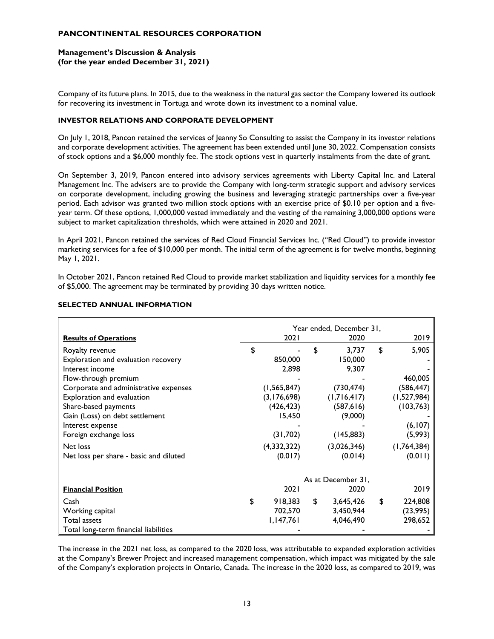# **Management's Discussion & Analysis (for the year ended December 31, 2021)**

Company of its future plans. In 2015, due to the weakness in the natural gas sector the Company lowered its outlook for recovering its investment in Tortuga and wrote down its investment to a nominal value.

# **INVESTOR RELATIONS AND CORPORATE DEVELOPMENT**

On July 1, 2018, Pancon retained the services of Jeanny So Consulting to assist the Company in its investor relations and corporate development activities. The agreement has been extended until June 30, 2022. Compensation consists of stock options and a \$6,000 monthly fee. The stock options vest in quarterly instalments from the date of grant.

On September 3, 2019, Pancon entered into advisory services agreements with Liberty Capital Inc. and Lateral Management Inc. The advisers are to provide the Company with long-term strategic support and advisory services on corporate development, including growing the business and leveraging strategic partnerships over a five-year period. Each advisor was granted two million stock options with an exercise price of \$0.10 per option and a fiveyear term. Of these options, 1,000,000 vested immediately and the vesting of the remaining 3,000,000 options were subject to market capitalization thresholds, which were attained in 2020 and 2021.

In April 2021, Pancon retained the services of Red Cloud Financial Services Inc. ("Red Cloud") to provide investor marketing services for a fee of \$10,000 per month. The initial term of the agreement is for twelve months, beginning May 1, 2021.

In October 2021, Pancon retained Red Cloud to provide market stabilization and liquidity services for a monthly fee of \$5,000. The agreement may be terminated by providing 30 days written notice.

|                                        | Year ended, December 31, |               |                    |             |    |             |  |
|----------------------------------------|--------------------------|---------------|--------------------|-------------|----|-------------|--|
| <b>Results of Operations</b>           |                          | 202 l         |                    | 2020        |    | 2019        |  |
| Royalty revenue                        | \$                       |               | \$                 | 3,737       | \$ | 5,905       |  |
| Exploration and evaluation recovery    |                          | 850,000       |                    | 150,000     |    |             |  |
| Interest income                        |                          | 2,898         |                    | 9,307       |    |             |  |
| Flow-through premium                   |                          |               |                    |             |    | 460,005     |  |
| Corporate and administrative expenses  |                          | (1, 565, 847) |                    | (730, 474)  |    | (586, 447)  |  |
| Exploration and evaluation             |                          | (3,176,698)   |                    | (1,716,417) |    | (1,527,984) |  |
| Share-based payments                   |                          | (426,423)     |                    | (587, 616)  |    | (103, 763)  |  |
| Gain (Loss) on debt settlement         |                          | 15,450        |                    | (9,000)     |    |             |  |
| Interest expense                       |                          |               |                    |             |    | (6, 107)    |  |
| Foreign exchange loss                  |                          | (31,702)      |                    | (145, 883)  |    | (5,993)     |  |
| Net loss                               |                          | (4,332,322)   |                    | (3,026,346) |    | (1,764,384) |  |
| Net loss per share - basic and diluted |                          | (0.017)       |                    | (0.014)     |    | (0.011)     |  |
|                                        |                          |               |                    |             |    |             |  |
|                                        |                          |               | As at December 31, |             |    |             |  |
| <b>Financial Position</b>              |                          | 2021          |                    | 2020        |    | 2019        |  |
| Cash                                   | \$                       | 918,383       | \$                 | 3,645,426   | \$ | 224,808     |  |
| Working capital                        |                          | 702,570       |                    | 3,450,944   |    | (23, 995)   |  |
| Total assets                           |                          | 1,147,761     |                    | 4,046,490   |    | 298,652     |  |
| Total long-term financial liabilities  |                          |               |                    |             |    |             |  |

### **SELECTED ANNUAL INFORMATION**

The increase in the 2021 net loss, as compared to the 2020 loss, was attributable to expanded exploration activities at the Company's Brewer Project and increased management compensation, which impact was mitigated by the sale of the Company's exploration projects in Ontario, Canada. The increase in the 2020 loss, as compared to 2019, was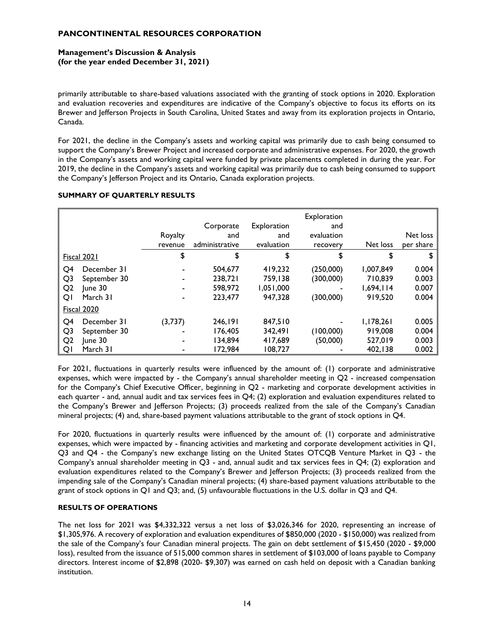# **Management's Discussion & Analysis (for the year ended December 31, 2021)**

primarily attributable to share-based valuations associated with the granting of stock options in 2020. Exploration and evaluation recoveries and expenditures are indicative of the Company's objective to focus its efforts on its Brewer and Jefferson Projects in South Carolina, United States and away from its exploration projects in Ontario, Canada.

For 2021, the decline in the Company's assets and working capital was primarily due to cash being consumed to support the Company's Brewer Project and increased corporate and administrative expenses. For 2020, the growth in the Company's assets and working capital were funded by private placements completed in during the year. For 2019, the decline in the Company's assets and working capital was primarily due to cash being consumed to support the Company's Jefferson Project and its Ontario, Canada exploration projects.

|                                              |                                                                   | Royalty<br>revenue | Corporate<br>and<br>administrative       | Exploration<br>and<br>evaluation           | Exploration<br>and<br>evaluation<br>recovery | Net loss                                     | Net loss<br>per share            |
|----------------------------------------------|-------------------------------------------------------------------|--------------------|------------------------------------------|--------------------------------------------|----------------------------------------------|----------------------------------------------|----------------------------------|
|                                              | <b>Fiscal 2021</b>                                                | \$                 | \$                                       | \$                                         | \$                                           | \$                                           | \$                               |
| Q4<br>Q <sub>3</sub><br>Q <sub>2</sub><br>QI | December 31<br>September 30<br>June 30<br>March 31<br>Fiscal 2020 |                    | 504,677<br>238.721<br>598,972<br>223,477 | 419.232<br>759,138<br>1,051,000<br>947,328 | (250,000)<br>(300,000)<br>(300,000)          | 1.007.849<br>710.839<br>1.694.114<br>919,520 | 0.004<br>0.003<br>0.007<br>0.004 |
| Q4<br>Q <sub>3</sub><br>Q <sub>2</sub><br>QI | December 31<br>September 30<br>June 30<br>March 31                | (3,737)            | 246,191<br>176.405<br>134.894<br>172,984 | 847,510<br>342.491<br>417,689<br>108,727   | (100,000)<br>(50,000)                        | 1,178,261<br>919,008<br>527,019<br>402,138   | 0.005<br>0.004<br>0.003<br>0.002 |

# **SUMMARY OF QUARTERLY RESULTS**

For 2021, fluctuations in quarterly results were influenced by the amount of: (1) corporate and administrative expenses, which were impacted by - the Company's annual shareholder meeting in Q2 - increased compensation for the Company's Chief Executive Officer, beginning in Q2 - marketing and corporate development activities in each quarter - and, annual audit and tax services fees in Q4; (2) exploration and evaluation expenditures related to the Company's Brewer and Jefferson Projects; (3) proceeds realized from the sale of the Company's Canadian mineral projects; (4) and, share-based payment valuations attributable to the grant of stock options in Q4.

For 2020, fluctuations in quarterly results were influenced by the amount of: (1) corporate and administrative expenses, which were impacted by - financing activities and marketing and corporate development activities in Q1, Q3 and Q4 - the Company's new exchange listing on the United States OTCQB Venture Market in Q3 - the Company's annual shareholder meeting in Q3 - and, annual audit and tax services fees in Q4; (2) exploration and evaluation expenditures related to the Company's Brewer and Jefferson Projects; (3) proceeds realized from the impending sale of the Company's Canadian mineral projects; (4) share-based payment valuations attributable to the grant of stock options in Q1 and Q3; and, (5) unfavourable fluctuations in the U.S. dollar in Q3 and Q4.

# **RESULTS OF OPERATIONS**

The net loss for 2021 was \$4,332,322 versus a net loss of \$3,026,346 for 2020, representing an increase of \$1,305,976. A recovery of exploration and evaluation expenditures of \$850,000 (2020 - \$150,000) was realized from the sale of the Company's four Canadian mineral projects. The gain on debt settlement of \$15,450 (2020 - \$9,000 loss), resulted from the issuance of 515,000 common shares in settlement of \$103,000 of loans payable to Company directors. Interest income of \$2,898 (2020- \$9,307) was earned on cash held on deposit with a Canadian banking institution.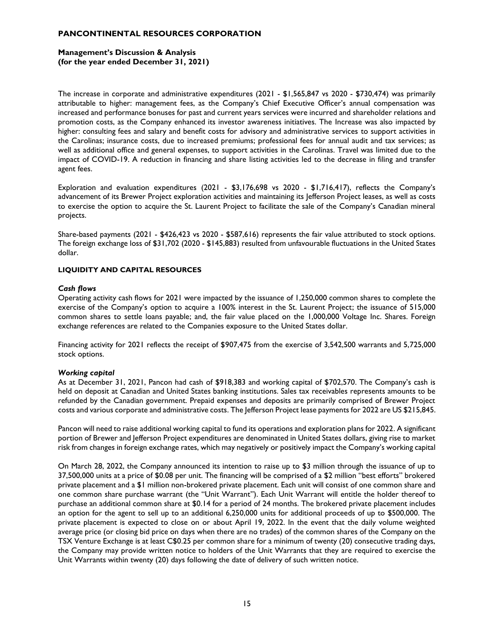# **Management's Discussion & Analysis (for the year ended December 31, 2021)**

The increase in corporate and administrative expenditures (2021 - \$1,565,847 vs 2020 - \$730,474) was primarily attributable to higher: management fees, as the Company's Chief Executive Officer's annual compensation was increased and performance bonuses for past and current years services were incurred and shareholder relations and promotion costs, as the Company enhanced its investor awareness initiatives. The Increase was also impacted by higher: consulting fees and salary and benefit costs for advisory and administrative services to support activities in the Carolinas; insurance costs, due to increased premiums; professional fees for annual audit and tax services; as well as additional office and general expenses, to support activities in the Carolinas. Travel was limited due to the impact of COVID-19. A reduction in financing and share listing activities led to the decrease in filing and transfer agent fees.

Exploration and evaluation expenditures (2021 - \$3,176,698 vs 2020 - \$1,716,417), reflects the Company's advancement of its Brewer Project exploration activities and maintaining its Jefferson Project leases, as well as costs to exercise the option to acquire the St. Laurent Project to facilitate the sale of the Company's Canadian mineral projects.

Share-based payments (2021 - \$426,423 vs 2020 - \$587,616) represents the fair value attributed to stock options. The foreign exchange loss of \$31,702 (2020 - \$145,883) resulted from unfavourable fluctuations in the United States dollar.

# **LIQUIDITY AND CAPITAL RESOURCES**

### *Cash flows*

Operating activity cash flows for 2021 were impacted by the issuance of 1,250,000 common shares to complete the exercise of the Company's option to acquire a 100% interest in the St. Laurent Project; the issuance of 515,000 common shares to settle loans payable; and, the fair value placed on the 1,000,000 Voltage Inc. Shares. Foreign exchange references are related to the Companies exposure to the United States dollar.

Financing activity for 2021 reflects the receipt of \$907,475 from the exercise of 3,542,500 warrants and 5,725,000 stock options.

#### *Working capital*

As at December 31, 2021, Pancon had cash of \$918,383 and working capital of \$702,570. The Company's cash is held on deposit at Canadian and United States banking institutions. Sales tax receivables represents amounts to be refunded by the Canadian government. Prepaid expenses and deposits are primarily comprised of Brewer Project costs and various corporate and administrative costs. The Jefferson Project lease payments for 2022 are US \$215,845.

Pancon will need to raise additional working capital to fund its operations and exploration plans for 2022. A significant portion of Brewer and Jefferson Project expenditures are denominated in United States dollars, giving rise to market risk from changes in foreign exchange rates, which may negatively or positively impact the Company's working capital

On March 28, 2022, the Company announced its intention to raise up to \$3 million through the issuance of up to 37,500,000 units at a price of \$0.08 per unit. The financing will be comprised of a \$2 million "best efforts" brokered private placement and a \$1 million non-brokered private placement. Each unit will consist of one common share and one common share purchase warrant (the "Unit Warrant"). Each Unit Warrant will entitle the holder thereof to purchase an additional common share at \$0.14 for a period of 24 months. The brokered private placement includes an option for the agent to sell up to an additional 6,250,000 units for additional proceeds of up to \$500,000. The private placement is expected to close on or about April 19, 2022. In the event that the daily volume weighted average price (or closing bid price on days when there are no trades) of the common shares of the Company on the TSX Venture Exchange is at least C\$0.25 per common share for a minimum of twenty (20) consecutive trading days, the Company may provide written notice to holders of the Unit Warrants that they are required to exercise the Unit Warrants within twenty (20) days following the date of delivery of such written notice.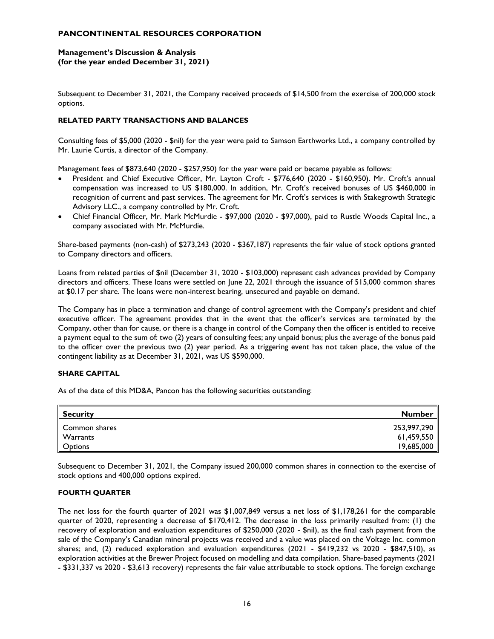# **Management's Discussion & Analysis (for the year ended December 31, 2021)**

Subsequent to December 31, 2021, the Company received proceeds of \$14,500 from the exercise of 200,000 stock options.

### **RELATED PARTY TRANSACTIONS AND BALANCES**

Consulting fees of \$5,000 (2020 - \$nil) for the year were paid to Samson Earthworks Ltd., a company controlled by Mr. Laurie Curtis, a director of the Company.

Management fees of \$873,640 (2020 - \$257,950) for the year were paid or became payable as follows:

- President and Chief Executive Officer, Mr. Layton Croft \$776,640 (2020 \$160,950). Mr. Croft's annual compensation was increased to US \$180,000. In addition, Mr. Croft's received bonuses of US \$460,000 in recognition of current and past services. The agreement for Mr. Croft's services is with Stakegrowth Strategic Advisory LLC., a company controlled by Mr. Croft.
- Chief Financial Officer, Mr. Mark McMurdie \$97,000 (2020 \$97,000), paid to Rustle Woods Capital Inc., a company associated with Mr. McMurdie.

Share-based payments (non-cash) of \$273,243 (2020 - \$367,187) represents the fair value of stock options granted to Company directors and officers.

Loans from related parties of \$nil (December 31, 2020 - \$103,000) represent cash advances provided by Company directors and officers. These loans were settled on June 22, 2021 through the issuance of 515,000 common shares at \$0.17 per share. The loans were non-interest bearing, unsecured and payable on demand.

The Company has in place a termination and change of control agreement with the Company's president and chief executive officer. The agreement provides that in the event that the officer's services are terminated by the Company, other than for cause, or there is a change in control of the Company then the officer is entitled to receive a payment equal to the sum of: two (2) years of consulting fees; any unpaid bonus; plus the average of the bonus paid to the officer over the previous two (2) year period. As a triggering event has not taken place, the value of the contingent liability as at December 31, 2021, was US \$590,000.

# **SHARE CAPITAL**

As of the date of this MD&A, Pancon has the following securities outstanding:

| <b>Security</b> | Number      |
|-----------------|-------------|
| Common shares   | 253,997,290 |
| Warrants        | 61,459,550  |
| Options         | 19,685,000  |

Subsequent to December 31, 2021, the Company issued 200,000 common shares in connection to the exercise of stock options and 400,000 options expired.

# **FOURTH QUARTER**

The net loss for the fourth quarter of 2021 was \$1,007,849 versus a net loss of \$1,178,261 for the comparable quarter of 2020, representing a decrease of \$170,412. The decrease in the loss primarily resulted from: (1) the recovery of exploration and evaluation expenditures of \$250,000 (2020 - \$nil), as the final cash payment from the sale of the Company's Canadian mineral projects was received and a value was placed on the Voltage Inc. common shares; and, (2) reduced exploration and evaluation expenditures (2021 - \$419,232 vs 2020 - \$847,510), as exploration activities at the Brewer Project focused on modelling and data compilation. Share-based payments (2021 - \$331,337 vs 2020 - \$3,613 recovery) represents the fair value attributable to stock options. The foreign exchange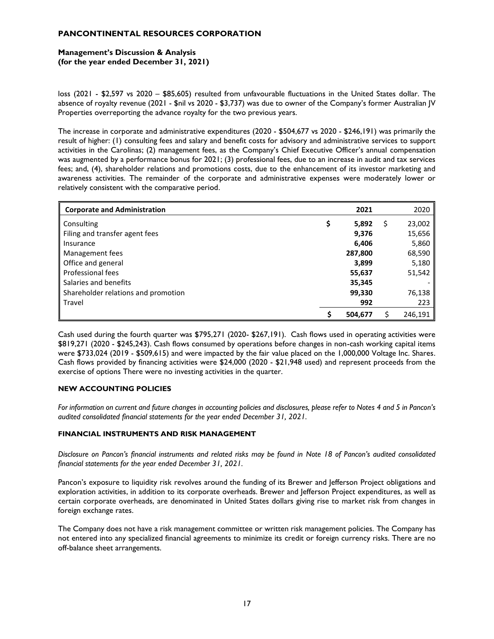# **Management's Discussion & Analysis (for the year ended December 31, 2021)**

loss (2021 - \$2,597 vs 2020 – \$85,605) resulted from unfavourable fluctuations in the United States dollar. The absence of royalty revenue (2021 - \$nil vs 2020 - \$3,737) was due to owner of the Company's former Australian JV Properties overreporting the advance royalty for the two previous years.

The increase in corporate and administrative expenditures (2020 - \$504,677 vs 2020 - \$246,191) was primarily the result of higher: (1) consulting fees and salary and benefit costs for advisory and administrative services to support activities in the Carolinas; (2) management fees, as the Company's Chief Executive Officer's annual compensation was augmented by a performance bonus for 2021; (3) professional fees, due to an increase in audit and tax services fees; and, (4), shareholder relations and promotions costs, due to the enhancement of its investor marketing and awareness activities. The remainder of the corporate and administrative expenses were moderately lower or relatively consistent with the comparative period.

| <b>Corporate and Administration</b> | 2021        |   | 2020    |
|-------------------------------------|-------------|---|---------|
| Consulting                          | \$<br>5,892 | S | 23,002  |
| Filing and transfer agent fees      | 9,376       |   | 15,656  |
| Insurance                           | 6,406       |   | 5,860   |
| Management fees                     | 287,800     |   | 68,590  |
| Office and general                  | 3,899       |   | 5,180   |
| Professional fees                   | 55,637      |   | 51,542  |
| Salaries and benefits               | 35,345      |   |         |
| Shareholder relations and promotion | 99,330      |   | 76,138  |
| Travel                              | 992         |   | 223     |
|                                     | 504.677     |   | 246,191 |

Cash used during the fourth quarter was \$795,271 (2020- \$267,191). Cash flows used in operating activities were \$819,271 (2020 - \$245,243). Cash flows consumed by operations before changes in non-cash working capital items were \$733,024 (2019 - \$509,615) and were impacted by the fair value placed on the 1,000,000 Voltage Inc. Shares. Cash flows provided by financing activities were \$24,000 (2020 - \$21,948 used) and represent proceeds from the exercise of options There were no investing activities in the quarter.

# **NEW ACCOUNTING POLICIES**

*For information on current and future changes in accounting policies and disclosures, please refer to Notes 4 and 5 in Pancon's audited consolidated financial statements for the year ended December 31, 2021.*

# **FINANCIAL INSTRUMENTS AND RISK MANAGEMENT**

*Disclosure on Pancon's financial instruments and related risks may be found in Note 18 of Pancon's audited consolidated financial statements for the year ended December 31, 2021.*

Pancon's exposure to liquidity risk revolves around the funding of its Brewer and Jefferson Project obligations and exploration activities, in addition to its corporate overheads. Brewer and Jefferson Project expenditures, as well as certain corporate overheads, are denominated in United States dollars giving rise to market risk from changes in foreign exchange rates.

The Company does not have a risk management committee or written risk management policies. The Company has not entered into any specialized financial agreements to minimize its credit or foreign currency risks. There are no off-balance sheet arrangements.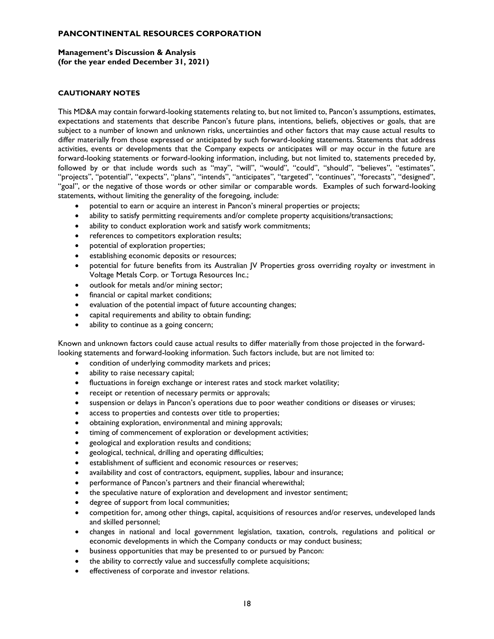# **Management's Discussion & Analysis (for the year ended December 31, 2021)**

# **CAUTIONARY NOTES**

This MD&A may contain forward-looking statements relating to, but not limited to, Pancon's assumptions, estimates, expectations and statements that describe Pancon's future plans, intentions, beliefs, objectives or goals, that are subject to a number of known and unknown risks, uncertainties and other factors that may cause actual results to differ materially from those expressed or anticipated by such forward-looking statements. Statements that address activities, events or developments that the Company expects or anticipates will or may occur in the future are forward-looking statements or forward-looking information, including, but not limited to, statements preceded by, followed by or that include words such as "may", "will", "would", "could", "should", "believes", "estimates", "projects", "potential", "expects", "plans", "intends", "anticipates", "targeted", "continues", "forecasts", "designed", "goal", or the negative of those words or other similar or comparable words. Examples of such forward-looking statements, without limiting the generality of the foregoing, include:

- potential to earn or acquire an interest in Pancon's mineral properties or projects;
- ability to satisfy permitting requirements and/or complete property acquisitions/transactions;
- ability to conduct exploration work and satisfy work commitments;
- references to competitors exploration results;
- potential of exploration properties;
- establishing economic deposits or resources;
- potential for future benefits from its Australian JV Properties gross overriding royalty or investment in Voltage Metals Corp. or Tortuga Resources Inc.;
- outlook for metals and/or mining sector;
- financial or capital market conditions;
- evaluation of the potential impact of future accounting changes;
- capital requirements and ability to obtain funding;
- ability to continue as a going concern;

Known and unknown factors could cause actual results to differ materially from those projected in the forwardlooking statements and forward-looking information. Such factors include, but are not limited to:

- condition of underlying commodity markets and prices;
- ability to raise necessary capital;
- fluctuations in foreign exchange or interest rates and stock market volatility;
- receipt or retention of necessary permits or approvals;
- suspension or delays in Pancon's operations due to poor weather conditions or diseases or viruses;
- access to properties and contests over title to properties;
- obtaining exploration, environmental and mining approvals;
- timing of commencement of exploration or development activities;
- geological and exploration results and conditions;
- geological, technical, drilling and operating difficulties;
- establishment of sufficient and economic resources or reserves;
- availability and cost of contractors, equipment, supplies, labour and insurance;
- performance of Pancon's partners and their financial wherewithal;
- the speculative nature of exploration and development and investor sentiment;
- degree of support from local communities;
- competition for, among other things, capital, acquisitions of resources and/or reserves, undeveloped lands and skilled personnel;
- changes in national and local government legislation, taxation, controls, regulations and political or economic developments in which the Company conducts or may conduct business;
- business opportunities that may be presented to or pursued by Pancon:
- the ability to correctly value and successfully complete acquisitions;
- effectiveness of corporate and investor relations.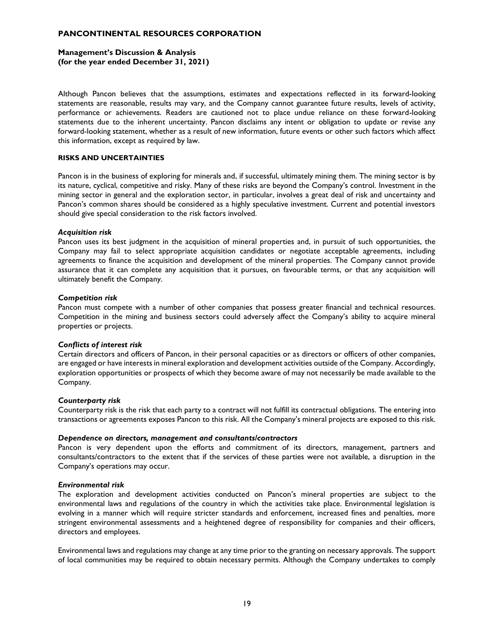### **Management's Discussion & Analysis (for the year ended December 31, 2021)**

Although Pancon believes that the assumptions, estimates and expectations reflected in its forward-looking statements are reasonable, results may vary, and the Company cannot guarantee future results, levels of activity, performance or achievements. Readers are cautioned not to place undue reliance on these forward-looking statements due to the inherent uncertainty. Pancon disclaims any intent or obligation to update or revise any forward-looking statement, whether as a result of new information, future events or other such factors which affect this information, except as required by law.

#### **RISKS AND UNCERTAINTIES**

Pancon is in the business of exploring for minerals and, if successful, ultimately mining them. The mining sector is by its nature, cyclical, competitive and risky. Many of these risks are beyond the Company's control. Investment in the mining sector in general and the exploration sector, in particular, involves a great deal of risk and uncertainty and Pancon's common shares should be considered as a highly speculative investment. Current and potential investors should give special consideration to the risk factors involved.

#### *Acquisition risk*

Pancon uses its best judgment in the acquisition of mineral properties and, in pursuit of such opportunities, the Company may fail to select appropriate acquisition candidates or negotiate acceptable agreements, including agreements to finance the acquisition and development of the mineral properties. The Company cannot provide assurance that it can complete any acquisition that it pursues, on favourable terms, or that any acquisition will ultimately benefit the Company.

#### *Competition risk*

Pancon must compete with a number of other companies that possess greater financial and technical resources. Competition in the mining and business sectors could adversely affect the Company's ability to acquire mineral properties or projects.

#### *Conflicts of interest risk*

Certain directors and officers of Pancon, in their personal capacities or as directors or officers of other companies, are engaged or have interests in mineral exploration and development activities outside of the Company. Accordingly, exploration opportunities or prospects of which they become aware of may not necessarily be made available to the Company.

#### *Counterparty risk*

Counterparty risk is the risk that each party to a contract will not fulfill its contractual obligations. The entering into transactions or agreements exposes Pancon to this risk. All the Company's mineral projects are exposed to this risk.

#### *Dependence on directors, management and consultants/contractors*

Pancon is very dependent upon the efforts and commitment of its directors, management, partners and consultants/contractors to the extent that if the services of these parties were not available, a disruption in the Company's operations may occur.

#### *Environmental risk*

The exploration and development activities conducted on Pancon's mineral properties are subject to the environmental laws and regulations of the country in which the activities take place. Environmental legislation is evolving in a manner which will require stricter standards and enforcement, increased fines and penalties, more stringent environmental assessments and a heightened degree of responsibility for companies and their officers, directors and employees.

Environmental laws and regulations may change at any time prior to the granting on necessary approvals. The support of local communities may be required to obtain necessary permits. Although the Company undertakes to comply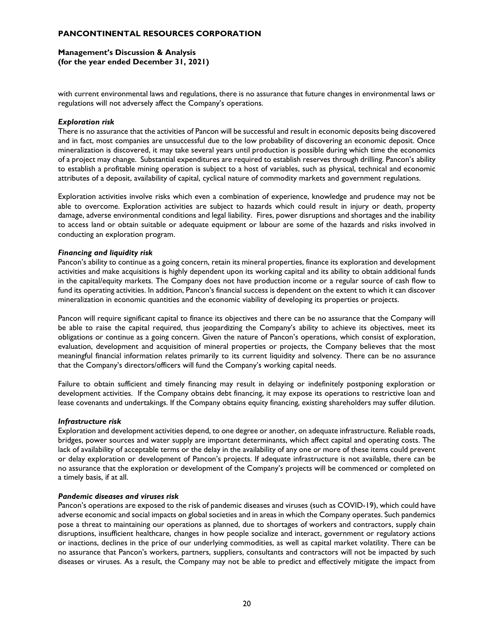# **Management's Discussion & Analysis (for the year ended December 31, 2021)**

with current environmental laws and regulations, there is no assurance that future changes in environmental laws or regulations will not adversely affect the Company's operations.

### *Exploration risk*

There is no assurance that the activities of Pancon will be successful and result in economic deposits being discovered and in fact, most companies are unsuccessful due to the low probability of discovering an economic deposit. Once mineralization is discovered, it may take several years until production is possible during which time the economics of a project may change. Substantial expenditures are required to establish reserves through drilling. Pancon's ability to establish a profitable mining operation is subject to a host of variables, such as physical, technical and economic attributes of a deposit, availability of capital, cyclical nature of commodity markets and government regulations.

Exploration activities involve risks which even a combination of experience, knowledge and prudence may not be able to overcome. Exploration activities are subject to hazards which could result in injury or death, property damage, adverse environmental conditions and legal liability. Fires, power disruptions and shortages and the inability to access land or obtain suitable or adequate equipment or labour are some of the hazards and risks involved in conducting an exploration program.

### *Financing and liquidity risk*

Pancon's ability to continue as a going concern, retain its mineral properties, finance its exploration and development activities and make acquisitions is highly dependent upon its working capital and its ability to obtain additional funds in the capital/equity markets. The Company does not have production income or a regular source of cash flow to fund its operating activities. In addition, Pancon's financial success is dependent on the extent to which it can discover mineralization in economic quantities and the economic viability of developing its properties or projects.

Pancon will require significant capital to finance its objectives and there can be no assurance that the Company will be able to raise the capital required, thus jeopardizing the Company's ability to achieve its objectives, meet its obligations or continue as a going concern. Given the nature of Pancon's operations, which consist of exploration, evaluation, development and acquisition of mineral properties or projects, the Company believes that the most meaningful financial information relates primarily to its current liquidity and solvency. There can be no assurance that the Company's directors/officers will fund the Company's working capital needs.

Failure to obtain sufficient and timely financing may result in delaying or indefinitely postponing exploration or development activities. If the Company obtains debt financing, it may expose its operations to restrictive loan and lease covenants and undertakings. If the Company obtains equity financing, existing shareholders may suffer dilution.

# *Infrastructure risk*

Exploration and development activities depend, to one degree or another, on adequate infrastructure. Reliable roads, bridges, power sources and water supply are important determinants, which affect capital and operating costs. The lack of availability of acceptable terms or the delay in the availability of any one or more of these items could prevent or delay exploration or development of Pancon's projects. If adequate infrastructure is not available, there can be no assurance that the exploration or development of the Company's projects will be commenced or completed on a timely basis, if at all.

#### *Pandemic diseases and viruses risk*

Pancon's operations are exposed to the risk of pandemic diseases and viruses (such as COVID-19), which could have adverse economic and social impacts on global societies and in areas in which the Company operates. Such pandemics pose a threat to maintaining our operations as planned, due to shortages of workers and contractors, supply chain disruptions, insufficient healthcare, changes in how people socialize and interact, government or regulatory actions or inactions, declines in the price of our underlying commodities, as well as capital market volatility. There can be no assurance that Pancon's workers, partners, suppliers, consultants and contractors will not be impacted by such diseases or viruses. As a result, the Company may not be able to predict and effectively mitigate the impact from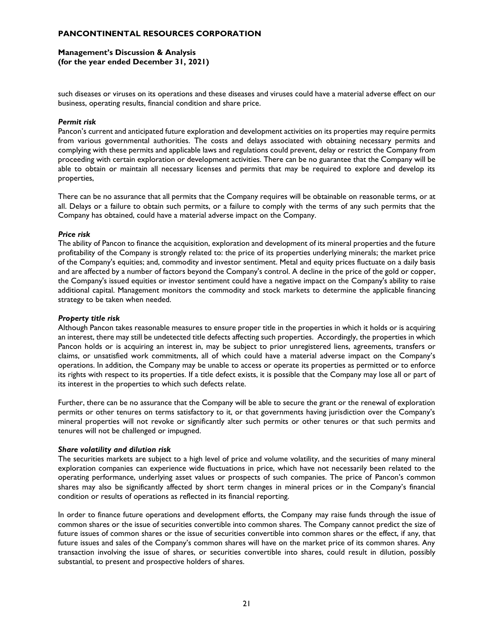# **Management's Discussion & Analysis (for the year ended December 31, 2021)**

such diseases or viruses on its operations and these diseases and viruses could have a material adverse effect on our business, operating results, financial condition and share price.

#### *Permit risk*

Pancon's current and anticipated future exploration and development activities on its properties may require permits from various governmental authorities. The costs and delays associated with obtaining necessary permits and complying with these permits and applicable laws and regulations could prevent, delay or restrict the Company from proceeding with certain exploration or development activities. There can be no guarantee that the Company will be able to obtain or maintain all necessary licenses and permits that may be required to explore and develop its properties,

There can be no assurance that all permits that the Company requires will be obtainable on reasonable terms, or at all. Delays or a failure to obtain such permits, or a failure to comply with the terms of any such permits that the Company has obtained, could have a material adverse impact on the Company.

#### *Price risk*

The ability of Pancon to finance the acquisition, exploration and development of its mineral properties and the future profitability of the Company is strongly related to: the price of its properties underlying minerals; the market price of the Company's equities; and, commodity and investor sentiment. Metal and equity prices fluctuate on a daily basis and are affected by a number of factors beyond the Company's control. A decline in the price of the gold or copper, the Company's issued equities or investor sentiment could have a negative impact on the Company's ability to raise additional capital. Management monitors the commodity and stock markets to determine the applicable financing strategy to be taken when needed.

#### *Property title risk*

Although Pancon takes reasonable measures to ensure proper title in the properties in which it holds or is acquiring an interest, there may still be undetected title defects affecting such properties. Accordingly, the properties in which Pancon holds or is acquiring an interest in, may be subject to prior unregistered liens, agreements, transfers or claims, or unsatisfied work commitments, all of which could have a material adverse impact on the Company's operations. In addition, the Company may be unable to access or operate its properties as permitted or to enforce its rights with respect to its properties. If a title defect exists, it is possible that the Company may lose all or part of its interest in the properties to which such defects relate.

Further, there can be no assurance that the Company will be able to secure the grant or the renewal of exploration permits or other tenures on terms satisfactory to it, or that governments having jurisdiction over the Company's mineral properties will not revoke or significantly alter such permits or other tenures or that such permits and tenures will not be challenged or impugned.

#### *Share volatility and dilution risk*

The securities markets are subject to a high level of price and volume volatility, and the securities of many mineral exploration companies can experience wide fluctuations in price, which have not necessarily been related to the operating performance, underlying asset values or prospects of such companies. The price of Pancon's common shares may also be significantly affected by short term changes in mineral prices or in the Company's financial condition or results of operations as reflected in its financial reporting.

In order to finance future operations and development efforts, the Company may raise funds through the issue of common shares or the issue of securities convertible into common shares. The Company cannot predict the size of future issues of common shares or the issue of securities convertible into common shares or the effect, if any, that future issues and sales of the Company's common shares will have on the market price of its common shares. Any transaction involving the issue of shares, or securities convertible into shares, could result in dilution, possibly substantial, to present and prospective holders of shares.